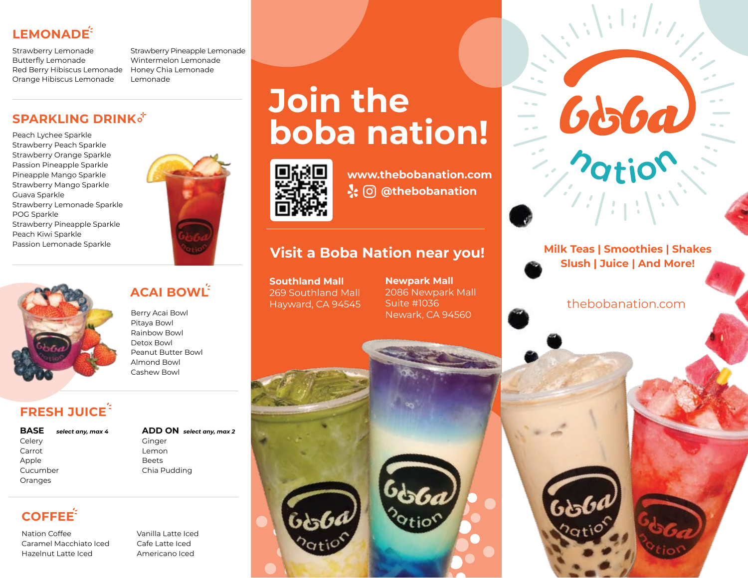# LEMONADE<sup><sup>2</sup></sup>

Strawberry Lemonade Butterfly Lemonade Red Berry Hibiscus Lemonade Orange Hibiscus Lemonade

Strawberry Pineapple Lemonade Wintermelon Lemonade Honey Chia Lemonade Lemonade

## **SPARKLING DRINK**

Peach Lychee Sparkle Strawberry Peach Sparkle Strawberry Orange Sparkle Passion Pineapple Sparkle Pineapple Mango Sparkle Strawberry Mango Sparkle Guava Sparkle Strawberry Lemonade Sparkle POG Sparkle Strawberry Pineapple Sparkle Peach Kiwi Sparkle Passion Lemonade Sparkle



# **ACAI BOWL**

Berry Acai Bowl Pitaya Bowl Rainbow Bowl Detox Bowl Peanut Butter Bowl Almond Bowl Cashew Bowl

# **FRESH JUICE**

**BASE** Celery Carrot Apple Cucumber Oranges

#### **ADD ON** *select any, max 4 select any, max 2* Ginger Lemon Beets Chia Pudding

# **COFFEE**

Nation Coffee Caramel Macchiato Iced Hazelnut Latte Iced

Vanilla Latte Iced Cafe Latte Iced Americano Iced

# **Join the boba nation!**



**www.thebobanation.com @thebobanation**

# **Visit a Boba Nation near you!** Milk Teas | Smoothies | Shakes

**Southland Mall** 269 Southland Mall Hayward, CA 94545

**Newpark Mall** 2086 Newpark Mall Suite #1036 Newark, CA 94560



**Slush | Juice | And More!**

Good

thebobanation.com